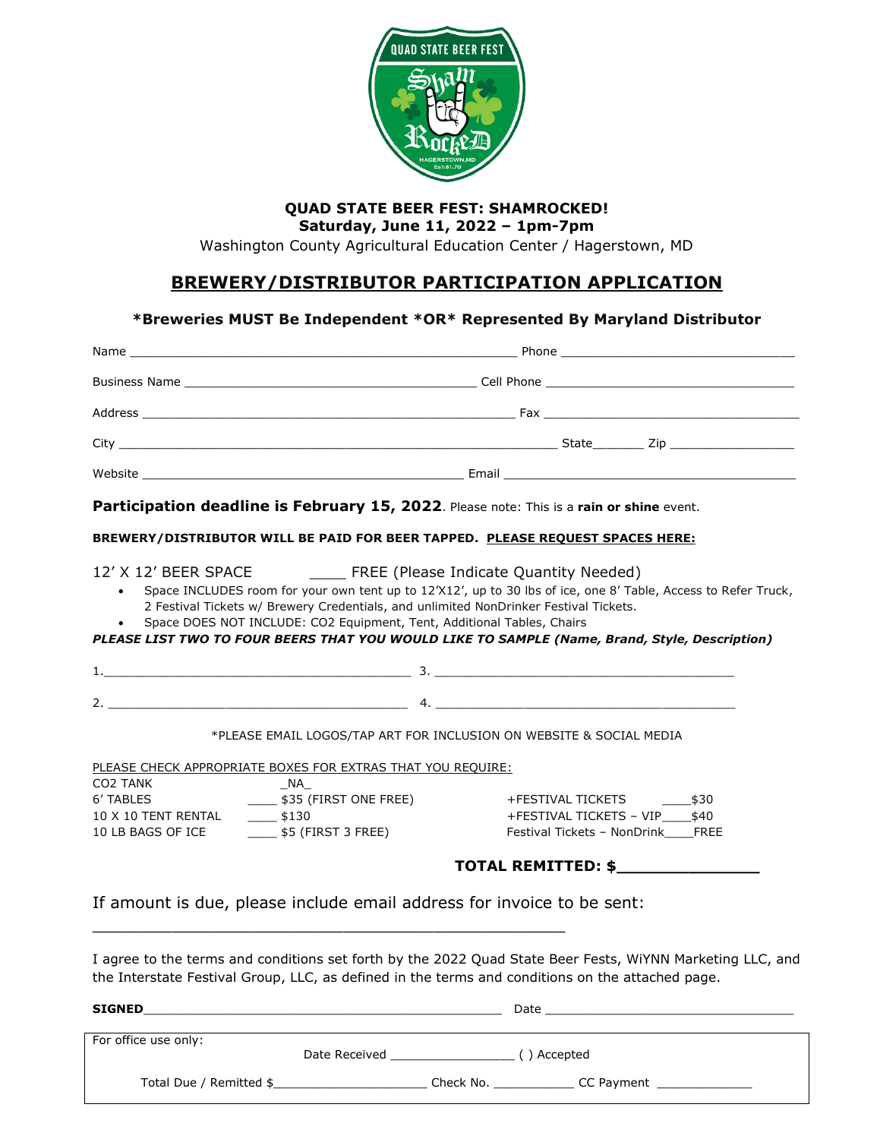

## **QUAD STATE BEER FEST: SHAMROCKED!**

**Saturday, June 11, 2022 – 1pm-7pm**

Washington County Agricultural Education Center / Hagerstown, MD

### **BREWERY/DISTRIBUTOR PARTICIPATION APPLICATION**

### **\*Breweries MUST Be Independent \*OR\* Represented By Maryland Distributor**

| Participation deadline is February 15, 2022. Please note: This is a rain or shine event.                                                                                                                                                                                                 |                                     |                                                                     |                                                                                                                |  |
|------------------------------------------------------------------------------------------------------------------------------------------------------------------------------------------------------------------------------------------------------------------------------------------|-------------------------------------|---------------------------------------------------------------------|----------------------------------------------------------------------------------------------------------------|--|
| BREWERY/DISTRIBUTOR WILL BE PAID FOR BEER TAPPED. PLEASE REQUEST SPACES HERE:                                                                                                                                                                                                            |                                     |                                                                     |                                                                                                                |  |
| 12' X 12' BEER SPACE<br>2 Festival Tickets w/ Brewery Credentials, and unlimited NonDrinker Festival Tickets.<br>Space DOES NOT INCLUDE: CO2 Equipment, Tent, Additional Tables, Chairs<br>PLEASE LIST TWO TO FOUR BEERS THAT YOU WOULD LIKE TO SAMPLE (Name, Brand, Style, Description) |                                     | <b>EXAMPLE</b> (Please Indicate Quantity Needed)                    | Space INCLUDES room for your own tent up to 12'X12', up to 30 lbs of ice, one 8' Table, Access to Refer Truck, |  |
|                                                                                                                                                                                                                                                                                          |                                     |                                                                     |                                                                                                                |  |
| 2. $\overline{a}$ 4.                                                                                                                                                                                                                                                                     |                                     |                                                                     |                                                                                                                |  |
|                                                                                                                                                                                                                                                                                          |                                     | *PLEASE EMAIL LOGOS/TAP ART FOR INCLUSION ON WEBSITE & SOCIAL MEDIA |                                                                                                                |  |
| PLEASE CHECK APPROPRIATE BOXES FOR EXTRAS THAT YOU REQUIRE:<br>CO <sub>2</sub> TANK                                                                                                                                                                                                      | <b>NA</b>                           |                                                                     |                                                                                                                |  |
| 6' TABLES                                                                                                                                                                                                                                                                                | $\frac{1}{2}$ \$35 (FIRST ONE FREE) |                                                                     | +FESTIVAL TICKETS<br>\$30                                                                                      |  |
| 10 X 10 TENT RENTAL<br>$\frac{1}{2}$ \$130<br>10 LB BAGS OF ICE                                                                                                                                                                                                                          | $\frac{1}{2}$ \$5 (FIRST 3 FREE)    |                                                                     | +FESTIVAL TICKETS - VIP \$40<br>Festival Tickets - NonDrink____FREE                                            |  |
|                                                                                                                                                                                                                                                                                          | TOTAL REMITTED: \$                  |                                                                     |                                                                                                                |  |
| If amount is due, please include email address for invoice to be sent:                                                                                                                                                                                                                   |                                     |                                                                     |                                                                                                                |  |
| I agree to the terms and conditions set forth by the 2022 Quad State Beer Fests, WiYNN Marketing LLC, and<br>the Interstate Festival Group, LLC, as defined in the terms and conditions on the attached page.                                                                            |                                     |                                                                     |                                                                                                                |  |
|                                                                                                                                                                                                                                                                                          |                                     |                                                                     |                                                                                                                |  |
| For office use only:                                                                                                                                                                                                                                                                     |                                     |                                                                     |                                                                                                                |  |
|                                                                                                                                                                                                                                                                                          |                                     |                                                                     |                                                                                                                |  |
| Total Due / Remitted \$                                                                                                                                                                                                                                                                  |                                     | Check No. _________________CC Payment                               |                                                                                                                |  |